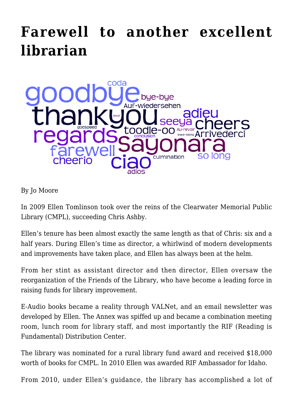## **[Farewell to another excellent](https://www.cmplfoundationinc.org/2016/02/farewell-to-another-excellent-librarian/) [librarian](https://www.cmplfoundationinc.org/2016/02/farewell-to-another-excellent-librarian/)**



By Jo Moore

In 2009 Ellen Tomlinson took over the reins of the Clearwater Memorial Public Library (CMPL), succeeding Chris Ashby.

Ellen's tenure has been almost exactly the same length as that of Chris: six and a half years. During Ellen's time as director, a whirlwind of modern developments and improvements have taken place, and Ellen has always been at the helm.

From her stint as assistant director and then director, Ellen oversaw the reorganization of the Friends of the Library, who have become a leading force in raising funds for library improvement.

E-Audio books became a reality through VALNet, and an email newsletter was developed by Ellen. The Annex was spiffed up and became a combination meeting room, lunch room for library staff, and most importantly the RIF (Reading is Fundamental) Distribution Center.

The library was nominated for a rural library fund award and received \$18,000 worth of books for CMPL. In 2010 Ellen was awarded RIF Ambassador for Idaho.

From 2010, under Ellen's guidance, the library has accomplished a lot of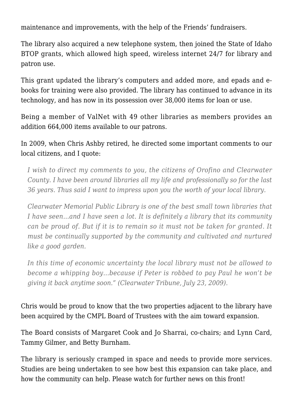maintenance and improvements, with the help of the Friends' fundraisers.

The library also acquired a new telephone system, then joined the State of Idaho BTOP grants, which allowed high speed, wireless internet 24/7 for library and patron use.

This grant updated the library's computers and added more, and epads and ebooks for training were also provided. The library has continued to advance in its technology, and has now in its possession over 38,000 items for loan or use.

Being a member of ValNet with 49 other libraries as members provides an addition 664,000 items available to our patrons.

In 2009, when Chris Ashby retired, he directed some important comments to our local citizens, and I quote:

*I wish to direct my comments to you, the citizens of Orofino and Clearwater County. I have been around libraries all my life and professionally so for the last 36 years. Thus said I want to impress upon you the worth of your local library.*

*Clearwater Memorial Public Library is one of the best small town libraries that I have seen…and I have seen a lot. It is definitely a library that its community can be proud of. But if it is to remain so it must not be taken for granted. It must be continually supported by the community and cultivated and nurtured like a good garden.*

*In this time of economic uncertainty the local library must not be allowed to become a whipping boy…because if Peter is robbed to pay Paul he won't be giving it back anytime soon." (Clearwater Tribune, July 23, 2009).*

Chris would be proud to know that the two properties adjacent to the library have been acquired by the CMPL Board of Trustees with the aim toward expansion.

The Board consists of Margaret Cook and Jo Sharrai, co-chairs; and Lynn Card, Tammy Gilmer, and Betty Burnham.

The library is seriously cramped in space and needs to provide more services. Studies are being undertaken to see how best this expansion can take place, and how the community can help. Please watch for further news on this front!